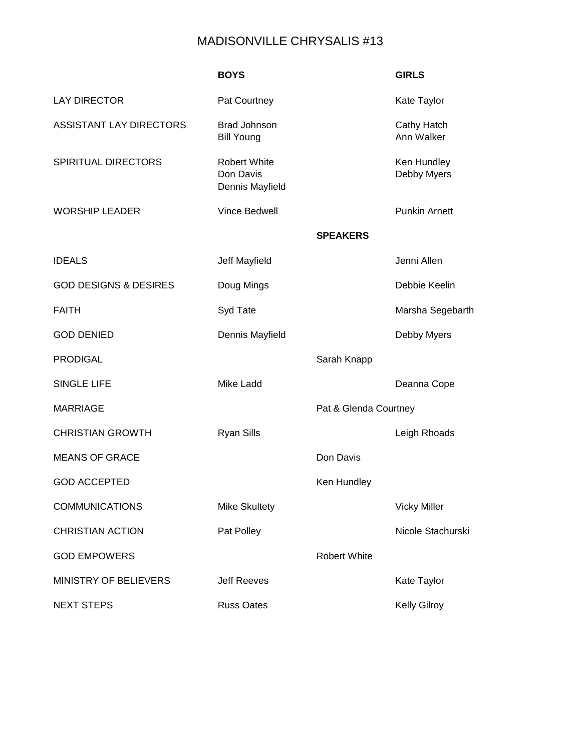## MADISONVILLE CHRYSALIS #13

|                                  | <b>BOYS</b>                                         |                       | <b>GIRLS</b>               |
|----------------------------------|-----------------------------------------------------|-----------------------|----------------------------|
| <b>LAY DIRECTOR</b>              | Pat Courtney                                        |                       | Kate Taylor                |
| <b>ASSISTANT LAY DIRECTORS</b>   | <b>Brad Johnson</b><br><b>Bill Young</b>            |                       | Cathy Hatch<br>Ann Walker  |
| SPIRITUAL DIRECTORS              | <b>Robert White</b><br>Don Davis<br>Dennis Mayfield |                       | Ken Hundley<br>Debby Myers |
| <b>WORSHIP LEADER</b>            | <b>Vince Bedwell</b>                                |                       | <b>Punkin Arnett</b>       |
|                                  |                                                     | <b>SPEAKERS</b>       |                            |
| <b>IDEALS</b>                    | Jeff Mayfield                                       |                       | Jenni Allen                |
| <b>GOD DESIGNS &amp; DESIRES</b> | Doug Mings                                          |                       | Debbie Keelin              |
| <b>FAITH</b>                     | Syd Tate                                            |                       | Marsha Segebarth           |
| <b>GOD DENIED</b>                | Dennis Mayfield                                     |                       | Debby Myers                |
| <b>PRODIGAL</b>                  |                                                     | Sarah Knapp           |                            |
| <b>SINGLE LIFE</b>               | Mike Ladd                                           |                       | Deanna Cope                |
| <b>MARRIAGE</b>                  |                                                     | Pat & Glenda Courtney |                            |
| <b>CHRISTIAN GROWTH</b>          | <b>Ryan Sills</b>                                   |                       | Leigh Rhoads               |
| <b>MEANS OF GRACE</b>            |                                                     | Don Davis             |                            |
| <b>GOD ACCEPTED</b>              |                                                     | Ken Hundley           |                            |
| <b>COMMUNICATIONS</b>            | <b>Mike Skultety</b>                                |                       | <b>Vicky Miller</b>        |
| <b>CHRISTIAN ACTION</b>          | Pat Polley                                          |                       | Nicole Stachurski          |
| <b>GOD EMPOWERS</b>              |                                                     | <b>Robert White</b>   |                            |
| <b>MINISTRY OF BELIEVERS</b>     | <b>Jeff Reeves</b>                                  |                       | Kate Taylor                |
| <b>NEXT STEPS</b>                | <b>Russ Oates</b>                                   |                       | <b>Kelly Gilroy</b>        |